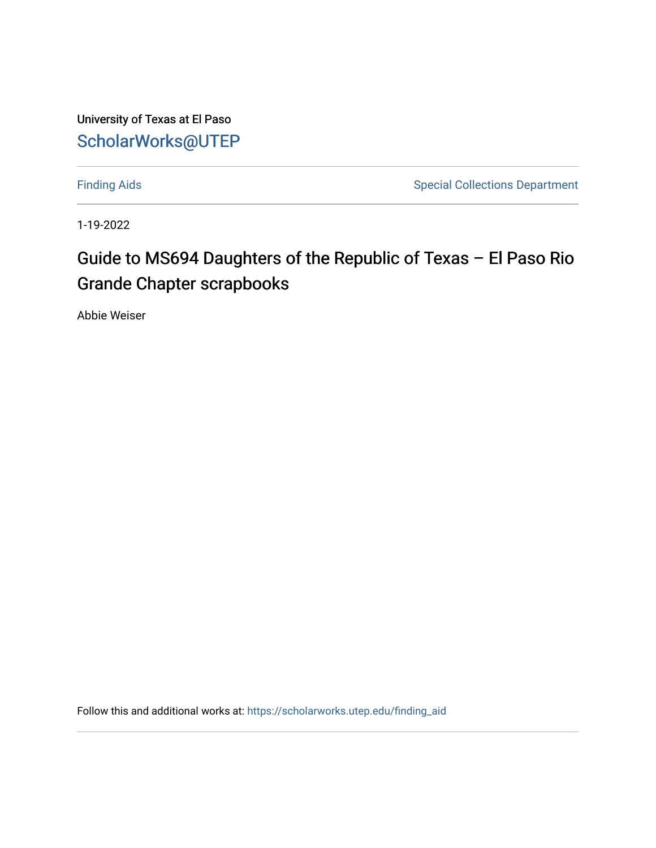University of Texas at El Paso [ScholarWorks@UTEP](https://scholarworks.utep.edu/)

[Finding Aids](https://scholarworks.utep.edu/finding_aid) **Special Collections Department** 

1-19-2022

## Guide to MS694 Daughters of the Republic of Texas – El Paso Rio Grande Chapter scrapbooks

Abbie Weiser

Follow this and additional works at: [https://scholarworks.utep.edu/finding\\_aid](https://scholarworks.utep.edu/finding_aid?utm_source=scholarworks.utep.edu%2Ffinding_aid%2F268&utm_medium=PDF&utm_campaign=PDFCoverPages)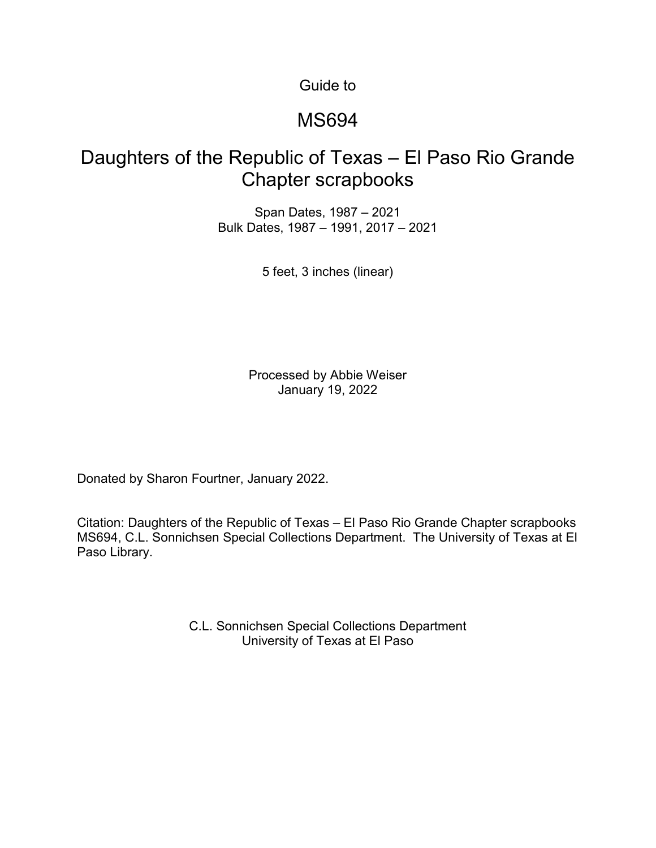Guide to

#### MS694

#### Daughters of the Republic of Texas – El Paso Rio Grande Chapter scrapbooks

Span Dates, 1987 – 2021 Bulk Dates, 1987 – 1991, 2017 – 2021

5 feet, 3 inches (linear)

Processed by Abbie Weiser January 19, 2022

Donated by Sharon Fourtner, January 2022.

Citation: Daughters of the Republic of Texas – El Paso Rio Grande Chapter scrapbooks MS694, C.L. Sonnichsen Special Collections Department. The University of Texas at El Paso Library.

> C.L. Sonnichsen Special Collections Department University of Texas at El Paso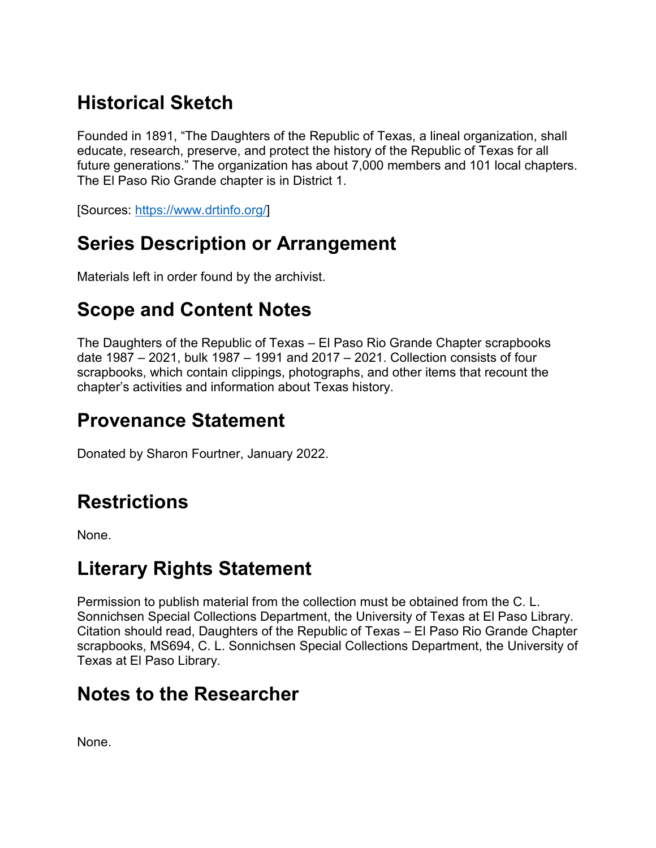# **Historical Sketch**

Founded in 1891, "The Daughters of the Republic of Texas, a lineal organization, shall educate, research, preserve, and protect the history of the Republic of Texas for all future generations." The organization has about 7,000 members and 101 local chapters. The El Paso Rio Grande chapter is in District 1.

[Sources: [https://www.drtinfo.org/\]](https://www.drtinfo.org/)

## **Series Description or Arrangement**

Materials left in order found by the archivist.

### **Scope and Content Notes**

The Daughters of the Republic of Texas – El Paso Rio Grande Chapter scrapbooks date 1987 – 2021, bulk 1987 – 1991 and 2017 – 2021. Collection consists of four scrapbooks, which contain clippings, photographs, and other items that recount the chapter's activities and information about Texas history.

## **Provenance Statement**

Donated by Sharon Fourtner, January 2022.

## **Restrictions**

None.

### **Literary Rights Statement**

Permission to publish material from the collection must be obtained from the C. L. Sonnichsen Special Collections Department, the University of Texas at El Paso Library. Citation should read, Daughters of the Republic of Texas – El Paso Rio Grande Chapter scrapbooks, MS694, C. L. Sonnichsen Special Collections Department, the University of Texas at El Paso Library.

#### **Notes to the Researcher**

None.